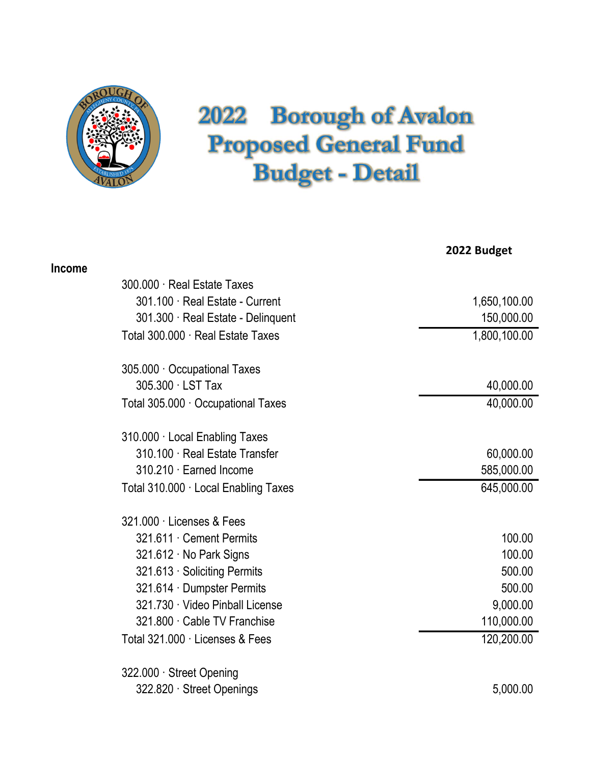

## 2022 Borough of Avalon<br>Proposed General Fund<br>Budget - Detail Froposed General Fund<br>Proposed General Fund<br>Budget - Detail Borough of Avalon<br>
bosed General Fund<br>
Budget - Detail

|               |                                      | 2022 Budget  |
|---------------|--------------------------------------|--------------|
| <b>Income</b> |                                      |              |
|               | 300.000 · Real Estate Taxes          |              |
|               | 301.100 Real Estate - Current        | 1,650,100.00 |
|               | 301.300 Real Estate - Delinquent     | 150,000.00   |
|               | Total 300.000 · Real Estate Taxes    | 1,800,100.00 |
|               | 305.000 Occupational Taxes           |              |
|               | 305.300 LST Tax                      | 40,000.00    |
|               | Total 305.000 · Occupational Taxes   | 40,000.00    |
|               | 310.000 · Local Enabling Taxes       |              |
|               | 310.100 · Real Estate Transfer       | 60,000.00    |
|               | 310.210 · Earned Income              | 585,000.00   |
|               | Total 310.000 · Local Enabling Taxes | 645,000.00   |
|               | 321.000 · Licenses & Fees            |              |
|               | 321.611 Cement Permits               | 100.00       |
|               | 321.612 No Park Signs                | 100.00       |
|               | 321.613 Soliciting Permits           | 500.00       |
|               | 321.614 Dumpster Permits             | 500.00       |
|               | 321.730 Video Pinball License        | 9,000.00     |
|               | 321.800 Cable TV Franchise           | 110,000.00   |
|               | Total 321.000 · Licenses & Fees      | 120,200.00   |
|               | 322.000 · Street Opening             |              |
|               | 322.820 Street Openings              | 5,000.00     |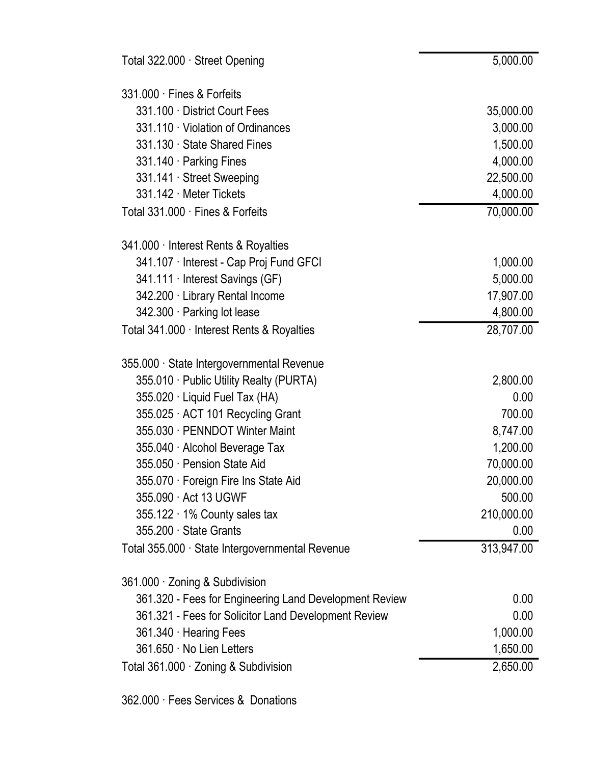| 331.000 Fines & Forfeits                               |                   |
|--------------------------------------------------------|-------------------|
| 331.100 District Court Fees                            | 35,000.00         |
| 331.110 Violation of Ordinances                        | 3,000.00          |
| 331.130 State Shared Fines                             | 1,500.00          |
| 331.140 Parking Fines                                  | 4,000.00          |
| 331.141 Street Sweeping                                | 22,500.00         |
| 331.142 · Meter Tickets                                | 4,000.00          |
| Total 331.000 · Fines & Forfeits                       | 70,000.00         |
| 341.000 · Interest Rents & Royalties                   |                   |
| 341.107 Interest - Cap Proj Fund GFCI                  | 1,000.00          |
| 341.111 Interest Savings (GF)                          | 5,000.00          |
| 342.200 Library Rental Income                          | 17,907.00         |
| 342.300 · Parking lot lease                            | 4,800.00          |
| Total 341.000 · Interest Rents & Royalties             | 28,707.00         |
| 355.000 · State Intergovernmental Revenue              |                   |
| 355.010 Public Utility Realty (PURTA)                  | 2,800.00          |
| 355.020 Liquid Fuel Tax (HA)                           | 0.00              |
| 355.025 ACT 101 Recycling Grant                        | 700.00            |
| 355.030 · PENNDOT Winter Maint                         | 8,747.00          |
| 355.040 · Alcohol Beverage Tax                         | 1,200.00          |
| 355.050 Pension State Aid                              | 70,000.00         |
| 355.070 Foreign Fire Ins State Aid                     | 20,000.00         |
| 355.090 Act 13 UGWF                                    | 500.00            |
| $355.122 \cdot 1\%$ County sales tax                   | 210,000.00        |
| 355.200 State Grants                                   | 0.00 <sub>1</sub> |
| Total 355.000 · State Intergovernmental Revenue        | 313,947.00        |
| 361.000 · Zoning & Subdivision                         |                   |
| 361.320 - Fees for Engineering Land Development Review | 0.00              |
| 361.321 - Fees for Solicitor Land Development Review   | 0.00              |
| 361.340 · Hearing Fees                                 | 1,000.00          |
| 361.650 No Lien Letters                                | 1,650.00          |

Total 361.000 · Zoning & Subdivision 2,650.00

 $5,000.00$ 

362.000 · Fees Services & Donations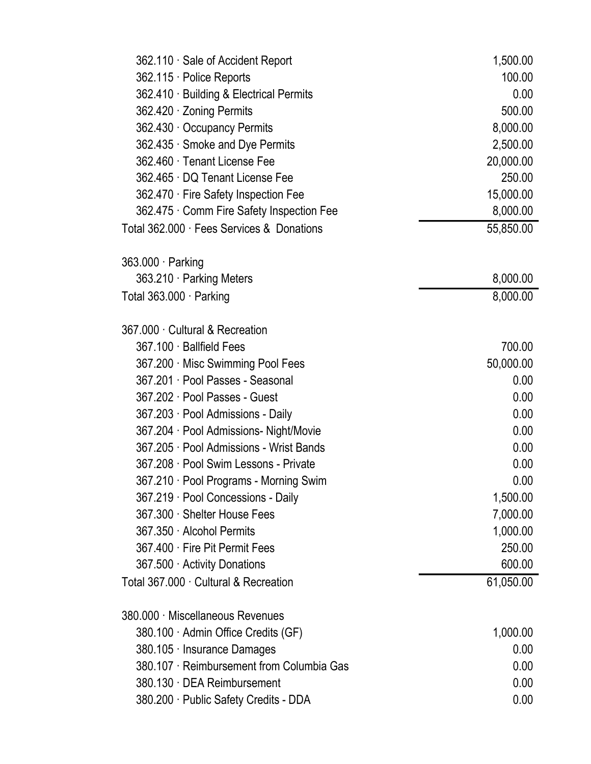| 362.110 Sale of Accident Report           | 1,500.00  |
|-------------------------------------------|-----------|
| 362.115 · Police Reports                  | 100.00    |
| 362.410 · Building & Electrical Permits   | 0.00      |
| 362.420 · Zoning Permits                  | 500.00    |
| 362.430 Occupancy Permits                 | 8,000.00  |
| 362.435 Smoke and Dye Permits             | 2,500.00  |
| 362.460 Tenant License Fee                | 20,000.00 |
| 362.465 DQ Tenant License Fee             | 250.00    |
| 362.470 Fire Safety Inspection Fee        | 15,000.00 |
| 362.475 Comm Fire Safety Inspection Fee   | 8,000.00  |
| Total 362.000 · Fees Services & Donations | 55,850.00 |
| $363.000 \cdot$ Parking                   |           |
| 363.210 · Parking Meters                  | 8,000.00  |
| Total 363.000 · Parking                   | 8,000.00  |
| 367.000 Cultural & Recreation             |           |
| 367.100 · Ballfield Fees                  | 700.00    |
| 367.200 Misc Swimming Pool Fees           | 50,000.00 |
| 367.201 · Pool Passes - Seasonal          | 0.00      |
| 367.202 Pool Passes - Guest               | 0.00      |
| 367.203 · Pool Admissions - Daily         | 0.00      |
| 367.204 · Pool Admissions- Night/Movie    | 0.00      |
| 367.205 Pool Admissions - Wrist Bands     | 0.00      |
| 367.208 Pool Swim Lessons - Private       | 0.00      |
| 367.210 · Pool Programs - Morning Swim    | 0.00      |
| 367.219 Pool Concessions - Daily          | 1,500.00  |
| 367.300 Shelter House Fees                | 7,000.00  |
| 367.350 Alcohol Permits                   | 1,000.00  |
| 367.400 Fire Pit Permit Fees              | 250.00    |
| 367.500 Activity Donations                | 600.00    |
| Total 367.000 Cultural & Recreation       | 61,050.00 |
| 380.000 · Miscellaneous Revenues          |           |
| 380.100 Admin Office Credits (GF)         | 1,000.00  |
| 380.105 Insurance Damages                 | 0.00      |
| 380.107 Reimbursement from Columbia Gas   | 0.00      |
| 380.130 DEA Reimbursement                 | 0.00      |
| 380.200 · Public Safety Credits - DDA     | 0.00      |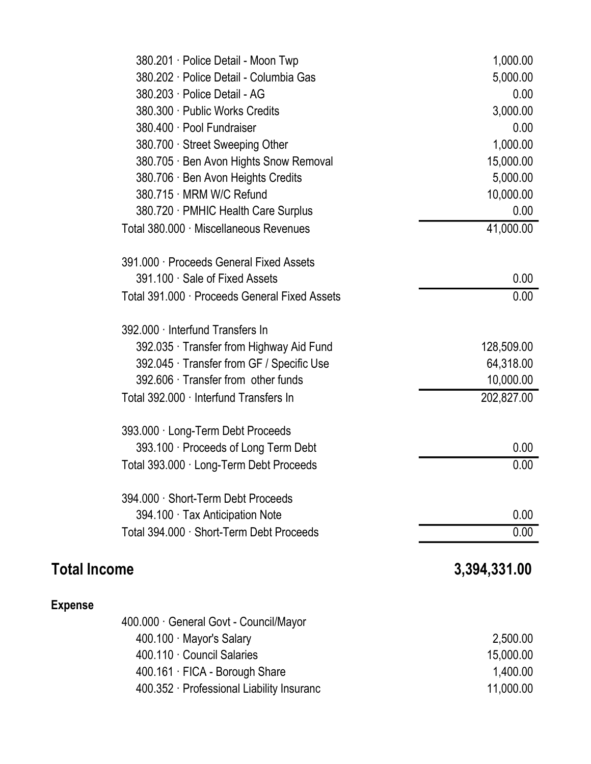|                     | 380.201 · Police Detail - Moon Twp            | 1,000.00     |
|---------------------|-----------------------------------------------|--------------|
|                     | 380.202 Police Detail - Columbia Gas          | 5,000.00     |
|                     | 380.203 · Police Detail - AG                  | 0.00         |
|                     | 380.300 Public Works Credits                  | 3,000.00     |
|                     | 380.400 Pool Fundraiser                       | 0.00         |
|                     | 380.700 Street Sweeping Other                 | 1,000.00     |
|                     | 380.705 · Ben Avon Hights Snow Removal        | 15,000.00    |
|                     | 380.706 · Ben Avon Heights Credits            | 5,000.00     |
|                     | 380.715 MRM W/C Refund                        | 10,000.00    |
|                     | 380.720 · PMHIC Health Care Surplus           | 0.00         |
|                     | Total 380.000 · Miscellaneous Revenues        | 41,000.00    |
|                     | 391.000 · Proceeds General Fixed Assets       |              |
|                     | 391.100 Sale of Fixed Assets                  | 0.00         |
|                     | Total 391.000 · Proceeds General Fixed Assets | 0.00         |
|                     | 392.000 · Interfund Transfers In              |              |
|                     | 392.035 Transfer from Highway Aid Fund        | 128,509.00   |
|                     | 392.045 Transfer from GF / Specific Use       | 64,318.00    |
|                     | 392.606 Transfer from other funds             | 10,000.00    |
|                     | Total 392.000 · Interfund Transfers In        | 202,827.00   |
|                     | 393.000 · Long-Term Debt Proceeds             |              |
|                     | 393.100 · Proceeds of Long Term Debt          | 0.00         |
|                     | Total 393.000 · Long-Term Debt Proceeds       | 0.00         |
|                     | 394.000 · Short-Term Debt Proceeds            |              |
|                     | 394.100 Tax Anticipation Note                 | 0.00         |
|                     | Total 394.000 · Short-Term Debt Proceeds      | 0.00         |
| <b>Total Income</b> |                                               | 3,394,331.00 |
| <b>Expense</b>      |                                               |              |
|                     | 400.000 General Govt - Council/Mayor          |              |
|                     | 400.100 Mayor's Salary                        | 2,500.00     |
|                     | 400.110 Council Salaries                      | 15,000.00    |
|                     | 400.161 · FICA - Borough Share                | 1,400.00     |
|                     | 400.352 Professional Liability Insuranc       | 11,000.00    |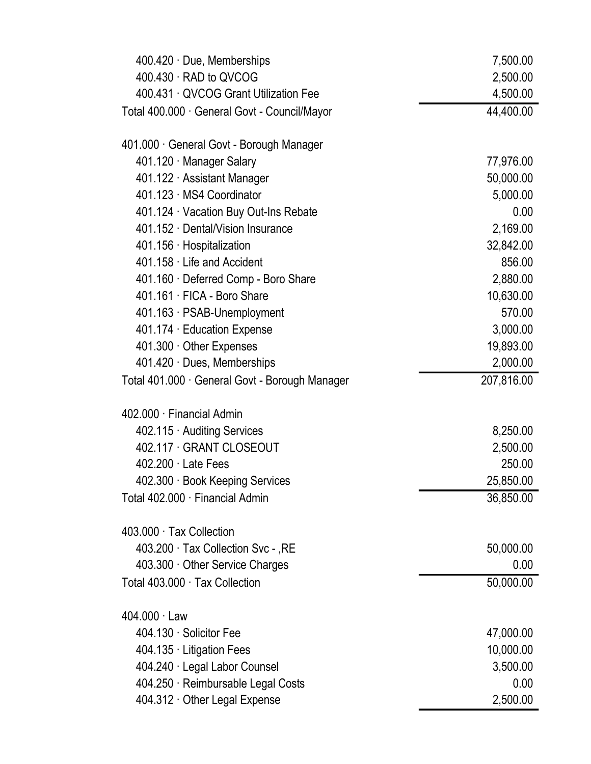| 400.430 · RAD to QVCOG<br>2,500.00<br>400.431 QVCOG Grant Utilization Fee<br>4,500.00<br>44,400.00<br>Total 400.000 · General Govt - Council/Mayor<br>401.000 General Govt - Borough Manager<br>401.120 Manager Salary<br>77,976.00<br>401.122 · Assistant Manager<br>50,000.00<br>401.123 MS4 Coordinator<br>5,000.00<br>401.124 Vacation Buy Out-Ins Rebate<br>0.00<br>401.152 Dental/Vision Insurance<br>2,169.00<br>32,842.00<br>401.156 · Hospitalization<br>401.158 Life and Accident<br>856.00<br>2,880.00<br>401.160 Deferred Comp - Boro Share<br>401.161 FICA - Boro Share<br>10,630.00<br>570.00<br>401.163 · PSAB-Unemployment<br>401.174 · Education Expense<br>3,000.00<br>19,893.00<br>401.300 Other Expenses<br>2,000.00<br>401.420 Dues, Memberships<br>207,816.00<br>Total 401.000 · General Govt - Borough Manager<br>402.000 Financial Admin<br>8,250.00<br>402.115 Auditing Services<br>402.117 GRANT CLOSEOUT<br>2,500.00<br>250.00<br>$402.200 \cdot$ Late Fees<br>25,850.00<br>402.300 Book Keeping Services<br>36,850.00<br>Total 402.000 · Financial Admin<br>403.000 Tax Collection<br>403.200 Tax Collection Svc - , RE<br>50,000.00<br>0.00<br>403.300 Other Service Charges<br>50,000.00<br>Total 403.000 · Tax Collection<br>$404.000 \cdot Law$<br>404.130 Solicitor Fee<br>47,000.00<br>10,000.00<br>404.135 Litigation Fees<br>404.240 · Legal Labor Counsel<br>3,500.00<br>404.250 · Reimbursable Legal Costs<br>0.00 | 400.420 Due, Memberships    | 7,500.00 |
|----------------------------------------------------------------------------------------------------------------------------------------------------------------------------------------------------------------------------------------------------------------------------------------------------------------------------------------------------------------------------------------------------------------------------------------------------------------------------------------------------------------------------------------------------------------------------------------------------------------------------------------------------------------------------------------------------------------------------------------------------------------------------------------------------------------------------------------------------------------------------------------------------------------------------------------------------------------------------------------------------------------------------------------------------------------------------------------------------------------------------------------------------------------------------------------------------------------------------------------------------------------------------------------------------------------------------------------------------------------------------------------------------------------------------------------------------------|-----------------------------|----------|
|                                                                                                                                                                                                                                                                                                                                                                                                                                                                                                                                                                                                                                                                                                                                                                                                                                                                                                                                                                                                                                                                                                                                                                                                                                                                                                                                                                                                                                                          |                             |          |
|                                                                                                                                                                                                                                                                                                                                                                                                                                                                                                                                                                                                                                                                                                                                                                                                                                                                                                                                                                                                                                                                                                                                                                                                                                                                                                                                                                                                                                                          |                             |          |
|                                                                                                                                                                                                                                                                                                                                                                                                                                                                                                                                                                                                                                                                                                                                                                                                                                                                                                                                                                                                                                                                                                                                                                                                                                                                                                                                                                                                                                                          |                             |          |
|                                                                                                                                                                                                                                                                                                                                                                                                                                                                                                                                                                                                                                                                                                                                                                                                                                                                                                                                                                                                                                                                                                                                                                                                                                                                                                                                                                                                                                                          |                             |          |
|                                                                                                                                                                                                                                                                                                                                                                                                                                                                                                                                                                                                                                                                                                                                                                                                                                                                                                                                                                                                                                                                                                                                                                                                                                                                                                                                                                                                                                                          |                             |          |
|                                                                                                                                                                                                                                                                                                                                                                                                                                                                                                                                                                                                                                                                                                                                                                                                                                                                                                                                                                                                                                                                                                                                                                                                                                                                                                                                                                                                                                                          |                             |          |
|                                                                                                                                                                                                                                                                                                                                                                                                                                                                                                                                                                                                                                                                                                                                                                                                                                                                                                                                                                                                                                                                                                                                                                                                                                                                                                                                                                                                                                                          |                             |          |
|                                                                                                                                                                                                                                                                                                                                                                                                                                                                                                                                                                                                                                                                                                                                                                                                                                                                                                                                                                                                                                                                                                                                                                                                                                                                                                                                                                                                                                                          |                             |          |
|                                                                                                                                                                                                                                                                                                                                                                                                                                                                                                                                                                                                                                                                                                                                                                                                                                                                                                                                                                                                                                                                                                                                                                                                                                                                                                                                                                                                                                                          |                             |          |
|                                                                                                                                                                                                                                                                                                                                                                                                                                                                                                                                                                                                                                                                                                                                                                                                                                                                                                                                                                                                                                                                                                                                                                                                                                                                                                                                                                                                                                                          |                             |          |
|                                                                                                                                                                                                                                                                                                                                                                                                                                                                                                                                                                                                                                                                                                                                                                                                                                                                                                                                                                                                                                                                                                                                                                                                                                                                                                                                                                                                                                                          |                             |          |
|                                                                                                                                                                                                                                                                                                                                                                                                                                                                                                                                                                                                                                                                                                                                                                                                                                                                                                                                                                                                                                                                                                                                                                                                                                                                                                                                                                                                                                                          |                             |          |
|                                                                                                                                                                                                                                                                                                                                                                                                                                                                                                                                                                                                                                                                                                                                                                                                                                                                                                                                                                                                                                                                                                                                                                                                                                                                                                                                                                                                                                                          |                             |          |
|                                                                                                                                                                                                                                                                                                                                                                                                                                                                                                                                                                                                                                                                                                                                                                                                                                                                                                                                                                                                                                                                                                                                                                                                                                                                                                                                                                                                                                                          |                             |          |
|                                                                                                                                                                                                                                                                                                                                                                                                                                                                                                                                                                                                                                                                                                                                                                                                                                                                                                                                                                                                                                                                                                                                                                                                                                                                                                                                                                                                                                                          |                             |          |
|                                                                                                                                                                                                                                                                                                                                                                                                                                                                                                                                                                                                                                                                                                                                                                                                                                                                                                                                                                                                                                                                                                                                                                                                                                                                                                                                                                                                                                                          |                             |          |
|                                                                                                                                                                                                                                                                                                                                                                                                                                                                                                                                                                                                                                                                                                                                                                                                                                                                                                                                                                                                                                                                                                                                                                                                                                                                                                                                                                                                                                                          |                             |          |
|                                                                                                                                                                                                                                                                                                                                                                                                                                                                                                                                                                                                                                                                                                                                                                                                                                                                                                                                                                                                                                                                                                                                                                                                                                                                                                                                                                                                                                                          |                             |          |
|                                                                                                                                                                                                                                                                                                                                                                                                                                                                                                                                                                                                                                                                                                                                                                                                                                                                                                                                                                                                                                                                                                                                                                                                                                                                                                                                                                                                                                                          |                             |          |
|                                                                                                                                                                                                                                                                                                                                                                                                                                                                                                                                                                                                                                                                                                                                                                                                                                                                                                                                                                                                                                                                                                                                                                                                                                                                                                                                                                                                                                                          |                             |          |
|                                                                                                                                                                                                                                                                                                                                                                                                                                                                                                                                                                                                                                                                                                                                                                                                                                                                                                                                                                                                                                                                                                                                                                                                                                                                                                                                                                                                                                                          |                             |          |
|                                                                                                                                                                                                                                                                                                                                                                                                                                                                                                                                                                                                                                                                                                                                                                                                                                                                                                                                                                                                                                                                                                                                                                                                                                                                                                                                                                                                                                                          |                             |          |
|                                                                                                                                                                                                                                                                                                                                                                                                                                                                                                                                                                                                                                                                                                                                                                                                                                                                                                                                                                                                                                                                                                                                                                                                                                                                                                                                                                                                                                                          |                             |          |
|                                                                                                                                                                                                                                                                                                                                                                                                                                                                                                                                                                                                                                                                                                                                                                                                                                                                                                                                                                                                                                                                                                                                                                                                                                                                                                                                                                                                                                                          |                             |          |
|                                                                                                                                                                                                                                                                                                                                                                                                                                                                                                                                                                                                                                                                                                                                                                                                                                                                                                                                                                                                                                                                                                                                                                                                                                                                                                                                                                                                                                                          |                             |          |
|                                                                                                                                                                                                                                                                                                                                                                                                                                                                                                                                                                                                                                                                                                                                                                                                                                                                                                                                                                                                                                                                                                                                                                                                                                                                                                                                                                                                                                                          |                             |          |
|                                                                                                                                                                                                                                                                                                                                                                                                                                                                                                                                                                                                                                                                                                                                                                                                                                                                                                                                                                                                                                                                                                                                                                                                                                                                                                                                                                                                                                                          |                             |          |
|                                                                                                                                                                                                                                                                                                                                                                                                                                                                                                                                                                                                                                                                                                                                                                                                                                                                                                                                                                                                                                                                                                                                                                                                                                                                                                                                                                                                                                                          |                             |          |
|                                                                                                                                                                                                                                                                                                                                                                                                                                                                                                                                                                                                                                                                                                                                                                                                                                                                                                                                                                                                                                                                                                                                                                                                                                                                                                                                                                                                                                                          |                             |          |
|                                                                                                                                                                                                                                                                                                                                                                                                                                                                                                                                                                                                                                                                                                                                                                                                                                                                                                                                                                                                                                                                                                                                                                                                                                                                                                                                                                                                                                                          |                             |          |
|                                                                                                                                                                                                                                                                                                                                                                                                                                                                                                                                                                                                                                                                                                                                                                                                                                                                                                                                                                                                                                                                                                                                                                                                                                                                                                                                                                                                                                                          |                             |          |
|                                                                                                                                                                                                                                                                                                                                                                                                                                                                                                                                                                                                                                                                                                                                                                                                                                                                                                                                                                                                                                                                                                                                                                                                                                                                                                                                                                                                                                                          |                             |          |
|                                                                                                                                                                                                                                                                                                                                                                                                                                                                                                                                                                                                                                                                                                                                                                                                                                                                                                                                                                                                                                                                                                                                                                                                                                                                                                                                                                                                                                                          |                             |          |
|                                                                                                                                                                                                                                                                                                                                                                                                                                                                                                                                                                                                                                                                                                                                                                                                                                                                                                                                                                                                                                                                                                                                                                                                                                                                                                                                                                                                                                                          | 404.312 Other Legal Expense | 2,500.00 |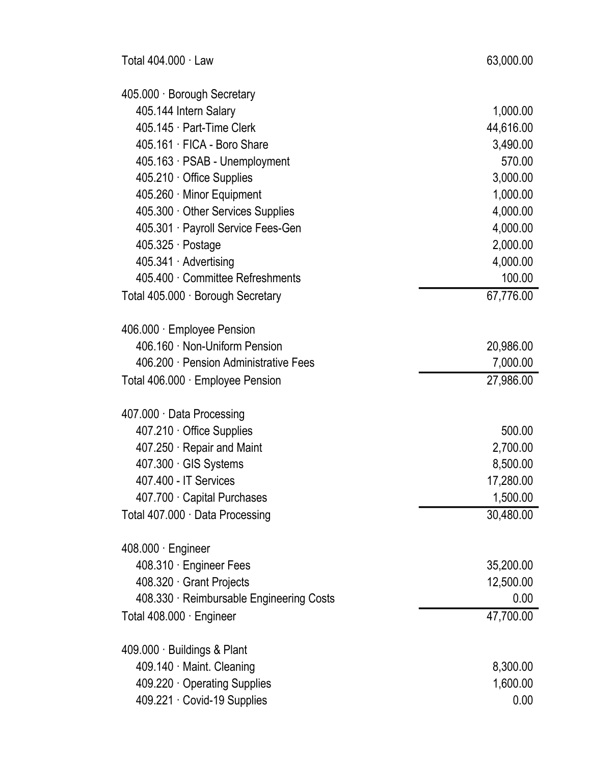| 405.000 · Borough Secretary              |           |
|------------------------------------------|-----------|
| 405.144 Intern Salary                    | 1,000.00  |
| 405.145 Part-Time Clerk                  | 44,616.00 |
| 405.161 FICA - Boro Share                | 3,490.00  |
| 405.163 · PSAB - Unemployment            | 570.00    |
| 405.210 Office Supplies                  | 3,000.00  |
| 405.260 Minor Equipment                  | 1,000.00  |
| 405.300 Other Services Supplies          | 4,000.00  |
| 405.301 Payroll Service Fees-Gen         | 4,000.00  |
| $405.325 \cdot \text{Postage}$           | 2,000.00  |
| 405.341 Advertising                      | 4,000.00  |
| 405.400 Committee Refreshments           | 100.00    |
| Total 405.000 · Borough Secretary        | 67,776.00 |
| 406.000 · Employee Pension               |           |
| 406.160 Non-Uniform Pension              | 20,986.00 |
| 406.200 Pension Administrative Fees      | 7,000.00  |
| Total 406.000 · Employee Pension         | 27,986.00 |
| 407.000 Data Processing                  |           |
| 407.210 Office Supplies                  | 500.00    |
| 407.250 Repair and Maint                 | 2,700.00  |
| 407.300 GIS Systems                      | 8,500.00  |
| 407.400 - IT Services                    | 17,280.00 |
| 407.700 Capital Purchases                | 1,500.00  |
| Total 407.000 Data Processing            | 30,480.00 |
| $408.000 \cdot$ Engineer                 |           |
| 408.310 Engineer Fees                    | 35,200.00 |
| 408.320 Grant Projects                   | 12,500.00 |
| 408.330 · Reimbursable Engineering Costs | 0.00      |
| Total 408.000 · Engineer                 | 47,700.00 |
| 409.000 · Buildings & Plant              |           |
| 409.140 Maint. Cleaning                  | 8,300.00  |
| 409.220 Operating Supplies               | 1,600.00  |
| 409.221 Covid-19 Supplies                | 0.00      |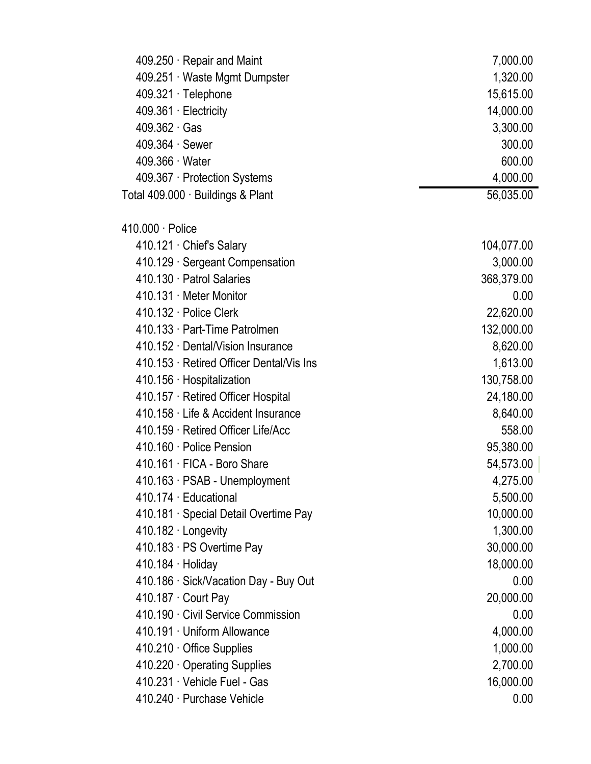| 409.250 Repair and Maint                 | 7,000.00   |
|------------------------------------------|------------|
| 409.251 Waste Mgmt Dumpster              | 1,320.00   |
| 409.321 · Telephone                      | 15,615.00  |
| 409.361 · Electricity                    | 14,000.00  |
| $409.362 \cdot Gas$                      | 3,300.00   |
| $409.364 \cdot$ Sewer                    | 300.00     |
| 409.366 Water                            | 600.00     |
| 409.367 Protection Systems               | 4,000.00   |
| Total 409.000 · Buildings & Plant        | 56,035.00  |
| 410.000 · Police                         |            |
| 410.121 Chief's Salary                   | 104,077.00 |
| 410.129 · Sergeant Compensation          | 3,000.00   |
| 410.130 Patrol Salaries                  | 368,379.00 |
| 410.131 Meter Monitor                    | 0.00       |
| 410.132 · Police Clerk                   | 22,620.00  |
| 410.133 Part-Time Patrolmen              | 132,000.00 |
| 410.152 Dental/Vision Insurance          | 8,620.00   |
| 410.153 · Retired Officer Dental/Vis Ins | 1,613.00   |
| 410.156 Hospitalization                  | 130,758.00 |
| 410.157 · Retired Officer Hospital       | 24,180.00  |
| 410.158 Life & Accident Insurance        | 8,640.00   |
| 410.159 Retired Officer Life/Acc         | 558.00     |
| 410.160 Police Pension                   | 95,380.00  |
| 410.161 FICA - Boro Share                | 54,573.00  |
| 410.163 · PSAB - Unemployment            | 4,275.00   |
| 410.174 Educational                      | 5,500.00   |
| 410.181 · Special Detail Overtime Pay    | 10,000.00  |
| 410.182 · Longevity                      | 1,300.00   |
| 410.183 · PS Overtime Pay                | 30,000.00  |
| $410.184 \cdot$ Holiday                  | 18,000.00  |
| 410.186 · Sick/Vacation Day - Buy Out    | 0.00       |
| 410.187 Court Pay                        | 20,000.00  |
| 410.190 Civil Service Commission         | 0.00       |
| 410.191 · Uniform Allowance              | 4,000.00   |
| 410.210 Office Supplies                  | 1,000.00   |
| 410.220 Operating Supplies               | 2,700.00   |
| 410.231 Vehicle Fuel - Gas               | 16,000.00  |
| 410.240 · Purchase Vehicle               | 0.00       |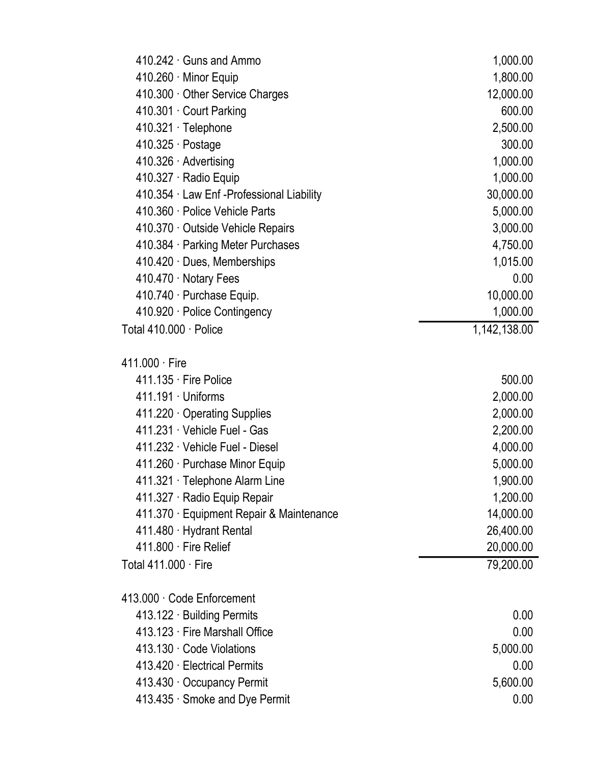| 410.242 Guns and Ammo                      | 1,000.00     |
|--------------------------------------------|--------------|
| 410.260 · Minor Equip                      | 1,800.00     |
| 410.300 Other Service Charges              | 12,000.00    |
| 410.301 Court Parking                      | 600.00       |
| 410.321 · Telephone                        | 2,500.00     |
| $410.325 \cdot$ Postage                    | 300.00       |
| 410.326 · Advertising                      | 1,000.00     |
| 410.327 · Radio Equip                      | 1,000.00     |
| 410.354 · Law Enf - Professional Liability | 30,000.00    |
| 410.360 Police Vehicle Parts               | 5,000.00     |
| 410.370 Outside Vehicle Repairs            | 3,000.00     |
| 410.384 Parking Meter Purchases            | 4,750.00     |
| 410.420 Dues, Memberships                  | 1,015.00     |
| 410.470 · Notary Fees                      | 0.00         |
| 410.740 Purchase Equip.                    | 10,000.00    |
| 410.920 · Police Contingency               | 1,000.00     |
| Total 410.000 · Police                     | 1,142,138.00 |
| $411.000 \cdot$ Fire                       |              |
| 411.135 Fire Police                        | 500.00       |
| 411.191 Uniforms                           | 2,000.00     |
| 411.220 Operating Supplies                 | 2,000.00     |
| 411.231 Vehicle Fuel - Gas                 | 2,200.00     |
| 411.232 Vehicle Fuel - Diesel              | 4,000.00     |
| 411.260 · Purchase Minor Equip             | 5,000.00     |
| 411.321 · Telephone Alarm Line             | 1,900.00     |
| 411.327 · Radio Equip Repair               | 1,200.00     |
| 411.370 · Equipment Repair & Maintenance   | 14,000.00    |
| 411.480 Hydrant Rental                     | 26,400.00    |
| 411.800 Fire Relief                        | 20,000.00    |
| Total 411,000 · Fire                       | 79,200.00    |
| 413.000 Code Enforcement                   |              |
| 413.122 Building Permits                   | 0.00         |
| 413.123 Fire Marshall Office               | 0.00         |
| 413.130 Code Violations                    | 5,000.00     |
| 413.420 Electrical Permits                 | 0.00         |
| 413.430 Occupancy Permit                   | 5,600.00     |
| 413.435 Smoke and Dye Permit               | 0.00         |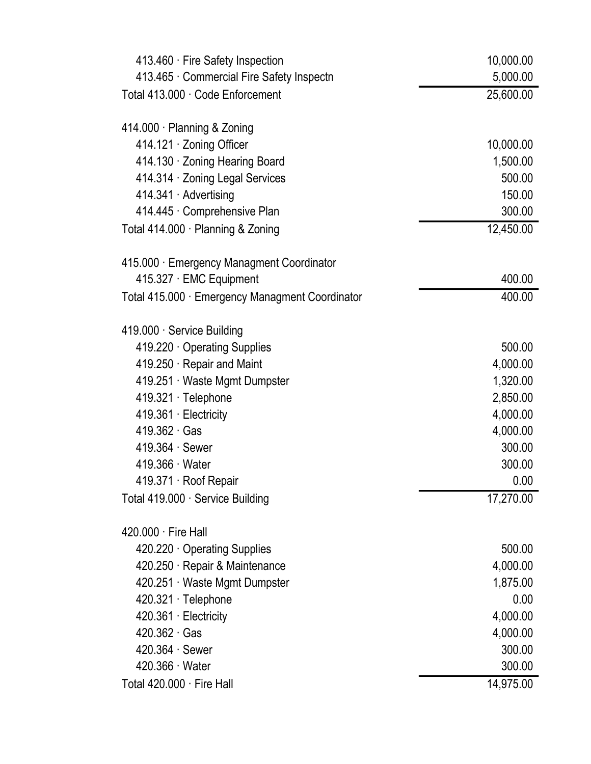| 413.460 · Fire Safety Inspection                | 10,000.00 |
|-------------------------------------------------|-----------|
| 413.465 Commercial Fire Safety Inspectn         | 5,000.00  |
| Total 413.000 · Code Enforcement                | 25,600.00 |
| 414.000 · Planning & Zoning                     |           |
| 414.121 Zoning Officer                          | 10,000.00 |
| 414.130 Zoning Hearing Board                    | 1,500.00  |
| 414.314 Zoning Legal Services                   | 500.00    |
| 414.341 · Advertising                           | 150.00    |
| 414.445 Comprehensive Plan                      | 300.00    |
| Total 414.000 · Planning & Zoning               | 12,450.00 |
| 415.000 · Emergency Managment Coordinator       |           |
| 415.327 · EMC Equipment                         | 400.00    |
| Total 415.000 · Emergency Managment Coordinator | 400.00    |
| 419.000 · Service Building                      |           |
| 419.220 Operating Supplies                      | 500.00    |
| 419.250 Repair and Maint                        | 4,000.00  |
| 419.251 Waste Mgmt Dumpster                     | 1,320.00  |
| 419.321 · Telephone                             | 2,850.00  |
| 419.361 · Electricity                           | 4,000.00  |
| $419.362 \cdot Gas$                             | 4,000.00  |
| 419.364 · Sewer                                 | 300.00    |
| 419.366 Water                                   | 300.00    |
| 419.371 Roof Repair                             | 0.00      |
| Total 419.000 · Service Building                | 17,270.00 |
| 420,000 Fire Hall                               |           |
| 420.220 Operating Supplies                      | 500.00    |
| 420.250 Repair & Maintenance                    | 4,000.00  |
| 420.251 Waste Mgmt Dumpster                     | 1,875.00  |
| 420.321 · Telephone                             | 0.00      |
| 420.361 · Electricity                           | 4,000.00  |
| 420.362 Gas                                     | 4,000.00  |
| $420.364 \cdot$ Sewer                           | 300.00    |
| $420.366 \cdot Water$                           | 300.00    |
| Total 420.000 · Fire Hall                       | 14,975.00 |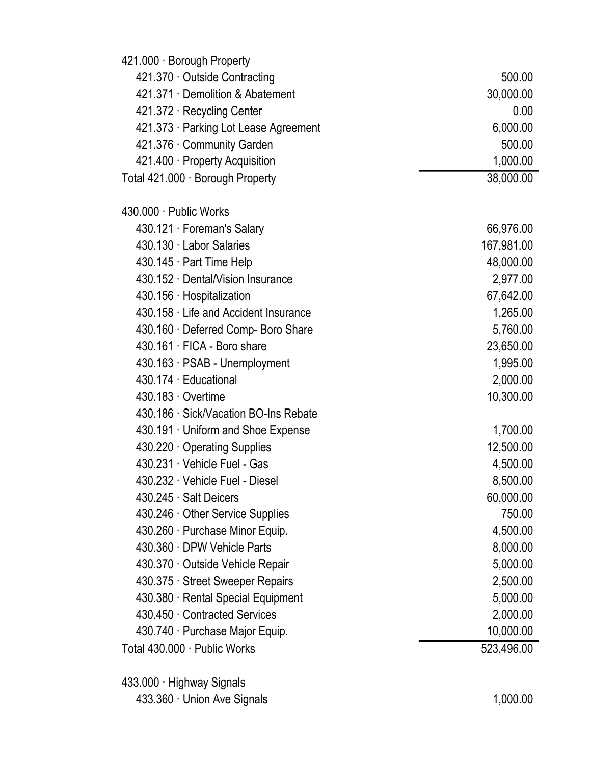| 421.000 · Borough Property            |            |
|---------------------------------------|------------|
| 421.370 Outside Contracting           | 500.00     |
| 421.371 Demolition & Abatement        | 30,000.00  |
| 421.372 · Recycling Center            | 0.00       |
| 421.373 · Parking Lot Lease Agreement | 6,000.00   |
| 421.376 Community Garden              | 500.00     |
| 421.400 Property Acquisition          | 1,000.00   |
| Total 421.000 · Borough Property      | 38,000.00  |
| 430.000 Public Works                  |            |
| 430.121 · Foreman's Salary            | 66,976.00  |
| 430.130 Labor Salaries                | 167,981.00 |
| 430.145 · Part Time Help              | 48,000.00  |
| 430.152 Dental/Vision Insurance       | 2,977.00   |
| 430.156 · Hospitalization             | 67,642.00  |
| 430.158 Life and Accident Insurance   | 1,265.00   |
| 430.160 · Deferred Comp- Boro Share   | 5,760.00   |
| 430.161 FICA - Boro share             | 23,650.00  |
| 430.163 · PSAB - Unemployment         | 1,995.00   |
| 430.174 Educational                   | 2,000.00   |
| 430.183 Overtime                      | 10,300.00  |
| 430.186 · Sick/Vacation BO-Ins Rebate |            |
| 430.191 · Uniform and Shoe Expense    | 1,700.00   |
| 430.220 Operating Supplies            | 12,500.00  |
| 430.231 Vehicle Fuel - Gas            | 4,500.00   |
| 430.232 Vehicle Fuel - Diesel         | 8,500.00   |
| 430.245 · Salt Deicers                | 60,000.00  |
| 430.246 Other Service Supplies        | 750.00     |
| 430.260 Purchase Minor Equip.         | 4,500.00   |
| 430.360 DPW Vehicle Parts             | 8,000.00   |
| 430.370 Outside Vehicle Repair        | 5,000.00   |
| 430.375 · Street Sweeper Repairs      | 2,500.00   |
| 430.380 Rental Special Equipment      | 5,000.00   |
| 430.450 Contracted Services           | 2,000.00   |
| 430.740 Purchase Major Equip.         | 10,000.00  |
| Total 430.000 · Public Works          | 523,496.00 |
| 433.000 · Highway Signals             |            |
| 433.360 Union Ave Signals             | 1,000.00   |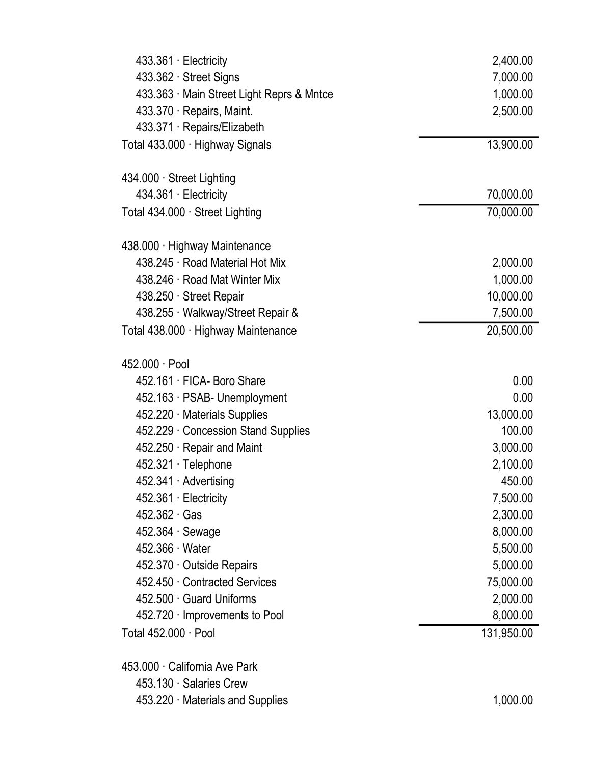| $433.361 \cdot$ Electricity             | 2,400.00   |
|-----------------------------------------|------------|
| 433.362 · Street Signs                  | 7,000.00   |
| 433.363 Main Street Light Reprs & Mntce | 1,000.00   |
| 433.370 · Repairs, Maint.               | 2,500.00   |
| 433.371 Repairs/Elizabeth               |            |
| Total 433.000 · Highway Signals         | 13,900.00  |
| 434.000 · Street Lighting               |            |
| 434.361 Electricity                     | 70,000.00  |
| Total 434.000 · Street Lighting         | 70,000.00  |
| 438.000 · Highway Maintenance           |            |
| 438.245 · Road Material Hot Mix         | 2,000.00   |
| 438.246 · Road Mat Winter Mix           | 1,000.00   |
| 438.250 Street Repair                   | 10,000.00  |
| 438.255 Walkway/Street Repair &         | 7,500.00   |
| Total 438.000 · Highway Maintenance     | 20,500.00  |
| 452.000 · Pool                          |            |
| 452.161 FICA- Boro Share                | 0.00       |
| 452.163 · PSAB- Unemployment            | 0.00       |
| 452.220 Materials Supplies              | 13,000.00  |
| 452.229 Concession Stand Supplies       | 100.00     |
| 452.250 Repair and Maint                | 3,000.00   |
| 452.321 · Telephone                     | 2,100.00   |
| 452.341 Advertising                     | 450.00     |
| 452.361 · Electricity                   | 7,500.00   |
| $452.362 \cdot Gas$                     | 2,300.00   |
| $452.364 \cdot$ Sewage                  | 8,000.00   |
| 452.366 Water                           | 5,500.00   |
| 452.370 Outside Repairs                 | 5,000.00   |
| 452.450 Contracted Services             | 75,000.00  |
| 452.500 Guard Uniforms                  | 2,000.00   |
| 452.720 Improvements to Pool            | 8,000.00   |
| Total $452.000 \cdot \text{Pool}$       | 131,950.00 |
| 453.000 California Ave Park             |            |
| 453.130 Salaries Crew                   |            |
| 453.220 Materials and Supplies          | 1,000.00   |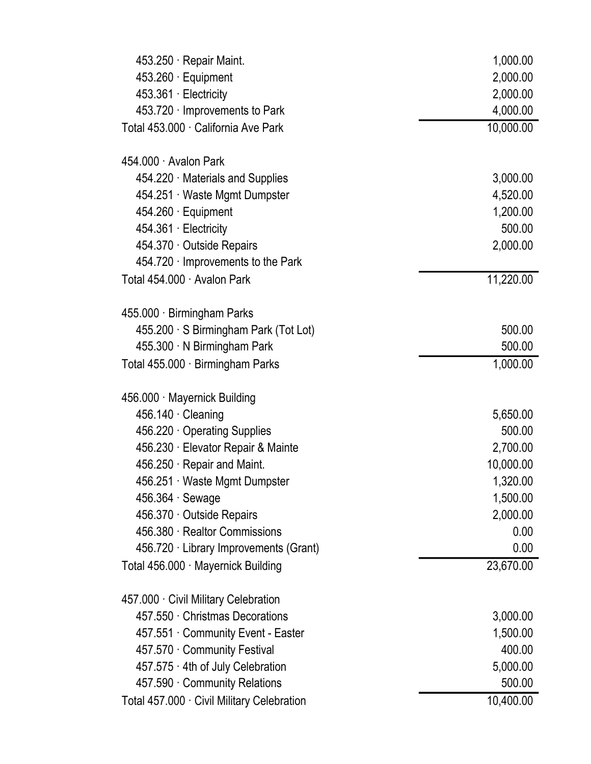| 453.250 Repair Maint.                      | 1,000.00  |
|--------------------------------------------|-----------|
| $453.260 \cdot$ Equipment                  | 2,000.00  |
| 453.361 · Electricity                      | 2,000.00  |
| 453.720 Improvements to Park               | 4,000.00  |
| Total 453.000 · California Ave Park        | 10,000.00 |
| 454.000 · Avalon Park                      |           |
| 454.220 Materials and Supplies             | 3,000.00  |
| 454.251 Waste Mgmt Dumpster                | 4,520.00  |
| 454.260 · Equipment                        | 1,200.00  |
| 454.361 · Electricity                      | 500.00    |
| 454.370 Outside Repairs                    | 2,000.00  |
| $454.720 \cdot$ Improvements to the Park   |           |
| Total 454.000 · Avalon Park                | 11,220.00 |
| 455.000 · Birmingham Parks                 |           |
| 455.200 · S Birmingham Park (Tot Lot)      | 500.00    |
| 455.300 N Birmingham Park                  | 500.00    |
| Total 455.000 · Birmingham Parks           | 1,000.00  |
|                                            |           |
| 456.000 · Mayernick Building               |           |
| $456.140 \cdot$ Cleaning                   | 5,650.00  |
| 456.220 Operating Supplies                 | 500.00    |
| 456.230 · Elevator Repair & Mainte         | 2,700.00  |
| 456.250 Repair and Maint.                  | 10,000.00 |
| 456.251 Waste Mgmt Dumpster                | 1,320.00  |
| $456.364 \cdot$ Sewage                     | 1,500.00  |
| 456.370 Outside Repairs                    | 2,000.00  |
| 456.380 Realtor Commissions                | 0.00      |
| 456.720 · Library Improvements (Grant)     | 0.00      |
| Total 456.000 · Mayernick Building         | 23,670.00 |
| 457.000 Civil Military Celebration         |           |
| 457.550 Christmas Decorations              | 3,000.00  |
| 457.551 Community Event - Easter           | 1,500.00  |
| 457.570 Community Festival                 | 400.00    |
| 457.575 · 4th of July Celebration          | 5,000.00  |
| 457.590 Community Relations                | 500.00    |
| Total 457.000 · Civil Military Celebration | 10,400.00 |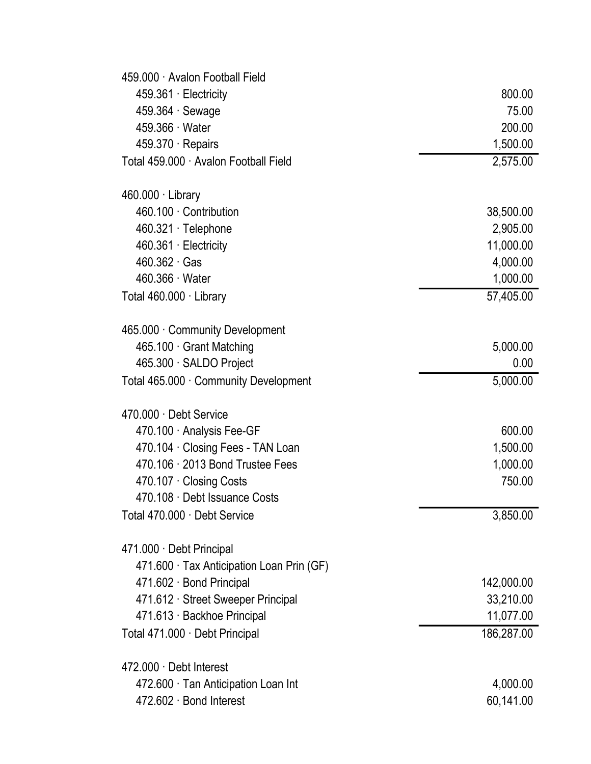| 459.000 Avalon Football Field           |            |
|-----------------------------------------|------------|
| 459.361 · Electricity                   | 800.00     |
| 459.364 Sewage                          | 75.00      |
| 459.366 Water                           | 200.00     |
| $459.370 \cdot$ Repairs                 | 1,500.00   |
| Total 459,000 · Avalon Football Field   | 2,575.00   |
| $460.000 \cdot$ Library                 |            |
| 460.100 Contribution                    | 38,500.00  |
| 460.321 Telephone                       | 2,905.00   |
| 460.361 · Electricity                   | 11,000.00  |
| $460.362 \cdot Gas$                     | 4,000.00   |
| 460.366 Water                           | 1,000.00   |
| Total 460.000 · Library                 | 57,405.00  |
| 465.000 Community Development           |            |
| 465.100 Grant Matching                  | 5,000.00   |
| 465.300 SALDO Project                   | 0.00       |
| Total 465.000 · Community Development   | 5,000.00   |
| 470.000 · Debt Service                  |            |
| 470.100 Analysis Fee-GF                 | 600.00     |
| 470.104 Closing Fees - TAN Loan         | 1,500.00   |
| 470.106 2013 Bond Trustee Fees          | 1,000.00   |
| 470.107 Closing Costs                   | 750.00     |
| 470.108 Debt Issuance Costs             |            |
| Total 470.000 · Debt Service            | 3,850.00   |
| 471.000 Debt Principal                  |            |
| 471.600 Tax Anticipation Loan Prin (GF) |            |
| 471.602 Bond Principal                  | 142,000.00 |
| 471.612 Street Sweeper Principal        | 33,210.00  |
| 471.613 · Backhoe Principal             | 11,077.00  |
| Total 471.000 · Debt Principal          | 186,287.00 |
|                                         |            |
| 472.000 Debt Interest                   |            |
| 472.600 Tan Anticipation Loan Int       | 4,000.00   |
| 472.602 · Bond Interest                 | 60,141.00  |